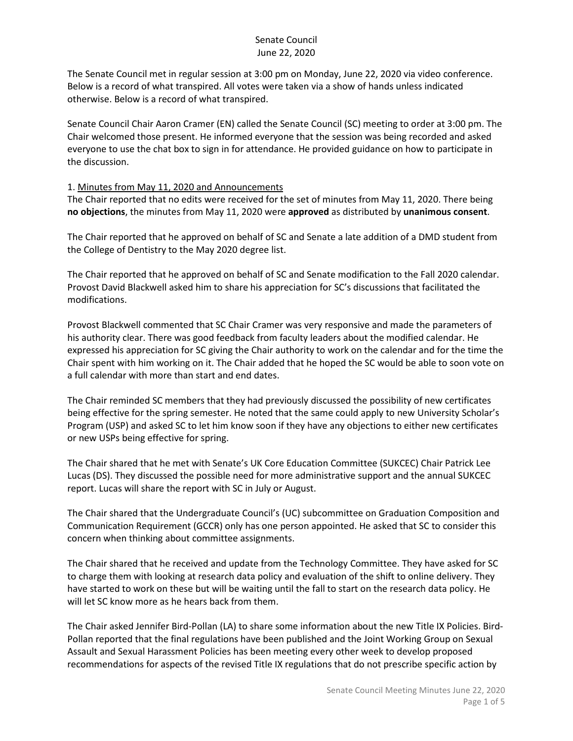The Senate Council met in regular session at 3:00 pm on Monday, June 22, 2020 via video conference. Below is a record of what transpired. All votes were taken via a show of hands unless indicated otherwise. Below is a record of what transpired.

Senate Council Chair Aaron Cramer (EN) called the Senate Council (SC) meeting to order at 3:00 pm. The Chair welcomed those present. He informed everyone that the session was being recorded and asked everyone to use the chat box to sign in for attendance. He provided guidance on how to participate in the discussion.

#### 1. Minutes from May 11, 2020 and Announcements

The Chair reported that no edits were received for the set of minutes from May 11, 2020. There being **no objections**, the minutes from May 11, 2020 were **approved** as distributed by **unanimous consent**.

The Chair reported that he approved on behalf of SC and Senate a late addition of a DMD student from the College of Dentistry to the May 2020 degree list.

The Chair reported that he approved on behalf of SC and Senate modification to the Fall 2020 calendar. Provost David Blackwell asked him to share his appreciation for SC's discussions that facilitated the modifications.

Provost Blackwell commented that SC Chair Cramer was very responsive and made the parameters of his authority clear. There was good feedback from faculty leaders about the modified calendar. He expressed his appreciation for SC giving the Chair authority to work on the calendar and for the time the Chair spent with him working on it. The Chair added that he hoped the SC would be able to soon vote on a full calendar with more than start and end dates.

The Chair reminded SC members that they had previously discussed the possibility of new certificates being effective for the spring semester. He noted that the same could apply to new University Scholar's Program (USP) and asked SC to let him know soon if they have any objections to either new certificates or new USPs being effective for spring.

The Chair shared that he met with Senate's UK Core Education Committee (SUKCEC) Chair Patrick Lee Lucas (DS). They discussed the possible need for more administrative support and the annual SUKCEC report. Lucas will share the report with SC in July or August.

The Chair shared that the Undergraduate Council's (UC) subcommittee on Graduation Composition and Communication Requirement (GCCR) only has one person appointed. He asked that SC to consider this concern when thinking about committee assignments.

The Chair shared that he received and update from the Technology Committee. They have asked for SC to charge them with looking at research data policy and evaluation of the shift to online delivery. They have started to work on these but will be waiting until the fall to start on the research data policy. He will let SC know more as he hears back from them.

The Chair asked Jennifer Bird-Pollan (LA) to share some information about the new Title IX Policies. Bird-Pollan reported that the final regulations have been published and the Joint Working Group on Sexual Assault and Sexual Harassment Policies has been meeting every other week to develop proposed recommendations for aspects of the revised Title IX regulations that do not prescribe specific action by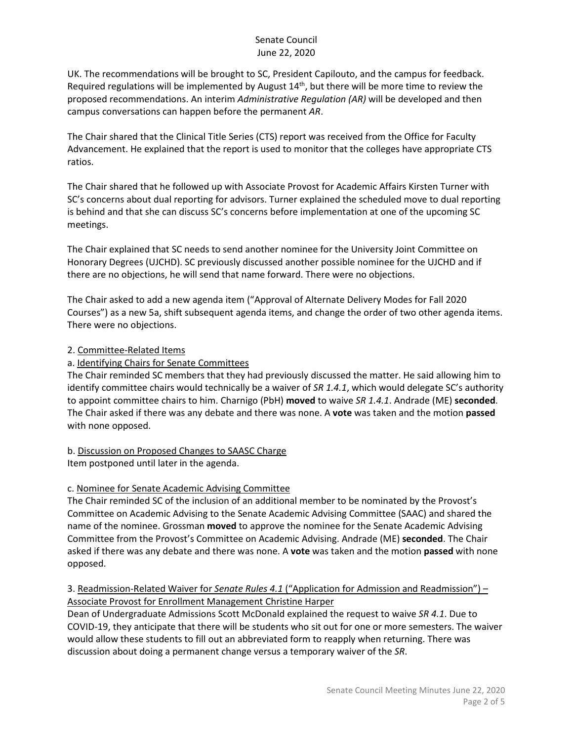UK. The recommendations will be brought to SC, President Capilouto, and the campus for feedback. Required regulations will be implemented by August  $14<sup>th</sup>$ , but there will be more time to review the proposed recommendations. An interim *Administrative Regulation (AR)* will be developed and then campus conversations can happen before the permanent *AR*.

The Chair shared that the Clinical Title Series (CTS) report was received from the Office for Faculty Advancement. He explained that the report is used to monitor that the colleges have appropriate CTS ratios.

The Chair shared that he followed up with Associate Provost for Academic Affairs Kirsten Turner with SC's concerns about dual reporting for advisors. Turner explained the scheduled move to dual reporting is behind and that she can discuss SC's concerns before implementation at one of the upcoming SC meetings.

The Chair explained that SC needs to send another nominee for the University Joint Committee on Honorary Degrees (UJCHD). SC previously discussed another possible nominee for the UJCHD and if there are no objections, he will send that name forward. There were no objections.

The Chair asked to add a new agenda item ("Approval of Alternate Delivery Modes for Fall 2020 Courses") as a new 5a, shift subsequent agenda items, and change the order of two other agenda items. There were no objections.

## 2. Committee-Related Items

## a. Identifying Chairs for Senate Committees

The Chair reminded SC members that they had previously discussed the matter. He said allowing him to identify committee chairs would technically be a waiver of *SR 1.4.1*, which would delegate SC's authority to appoint committee chairs to him. Charnigo (PbH) **moved** to waive *SR 1.4.1*. Andrade (ME) **seconded**. The Chair asked if there was any debate and there was none. A **vote** was taken and the motion **passed** with none opposed.

#### b. Discussion on Proposed Changes to SAASC Charge Item postponed until later in the agenda.

## c. Nominee for Senate Academic Advising Committee

The Chair reminded SC of the inclusion of an additional member to be nominated by the Provost's Committee on Academic Advising to the Senate Academic Advising Committee (SAAC) and shared the name of the nominee. Grossman **moved** to approve the nominee for the Senate Academic Advising Committee from the Provost's Committee on Academic Advising. Andrade (ME) **seconded**. The Chair asked if there was any debate and there was none. A **vote** was taken and the motion **passed** with none opposed.

## 3. Readmission-Related Waiver for *Senate Rules 4.1* ("Application for Admission and Readmission") – Associate Provost for Enrollment Management Christine Harper

Dean of Undergraduate Admissions Scott McDonald explained the request to waive *SR 4.1*. Due to COVID-19, they anticipate that there will be students who sit out for one or more semesters. The waiver would allow these students to fill out an abbreviated form to reapply when returning. There was discussion about doing a permanent change versus a temporary waiver of the *SR*.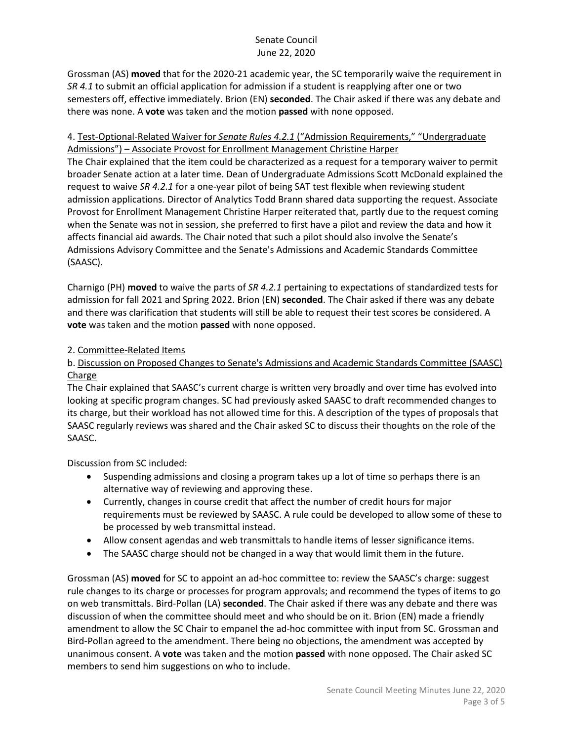Grossman (AS) **moved** that for the 2020-21 academic year, the SC temporarily waive the requirement in *SR 4.1* to submit an official application for admission if a student is reapplying after one or two semesters off, effective immediately. Brion (EN) **seconded**. The Chair asked if there was any debate and there was none. A **vote** was taken and the motion **passed** with none opposed.

# 4. Test-Optional-Related Waiver for *Senate Rules 4.2.1* ("Admission Requirements," "Undergraduate Admissions") – Associate Provost for Enrollment Management Christine Harper

The Chair explained that the item could be characterized as a request for a temporary waiver to permit broader Senate action at a later time. Dean of Undergraduate Admissions Scott McDonald explained the request to waive *SR 4.2.1* for a one-year pilot of being SAT test flexible when reviewing student admission applications. Director of Analytics Todd Brann shared data supporting the request. Associate Provost for Enrollment Management Christine Harper reiterated that, partly due to the request coming when the Senate was not in session, she preferred to first have a pilot and review the data and how it affects financial aid awards. The Chair noted that such a pilot should also involve the Senate's Admissions Advisory Committee and the Senate's Admissions and Academic Standards Committee (SAASC).

Charnigo (PH) **moved** to waive the parts of *SR 4.2.1* pertaining to expectations of standardized tests for admission for fall 2021 and Spring 2022. Brion (EN) **seconded**. The Chair asked if there was any debate and there was clarification that students will still be able to request their test scores be considered. A **vote** was taken and the motion **passed** with none opposed.

## 2. Committee-Related Items

## b. Discussion on Proposed Changes to Senate's Admissions and Academic Standards Committee (SAASC) Charge

The Chair explained that SAASC's current charge is written very broadly and over time has evolved into looking at specific program changes. SC had previously asked SAASC to draft recommended changes to its charge, but their workload has not allowed time for this. A description of the types of proposals that SAASC regularly reviews was shared and the Chair asked SC to discuss their thoughts on the role of the SAASC.

Discussion from SC included:

- Suspending admissions and closing a program takes up a lot of time so perhaps there is an alternative way of reviewing and approving these.
- Currently, changes in course credit that affect the number of credit hours for major requirements must be reviewed by SAASC. A rule could be developed to allow some of these to be processed by web transmittal instead.
- Allow consent agendas and web transmittals to handle items of lesser significance items.
- The SAASC charge should not be changed in a way that would limit them in the future.

Grossman (AS) **moved** for SC to appoint an ad-hoc committee to: review the SAASC's charge: suggest rule changes to its charge or processes for program approvals; and recommend the types of items to go on web transmittals. Bird-Pollan (LA) **seconded**. The Chair asked if there was any debate and there was discussion of when the committee should meet and who should be on it. Brion (EN) made a friendly amendment to allow the SC Chair to empanel the ad-hoc committee with input from SC. Grossman and Bird-Pollan agreed to the amendment. There being no objections, the amendment was accepted by unanimous consent. A **vote** was taken and the motion **passed** with none opposed. The Chair asked SC members to send him suggestions on who to include.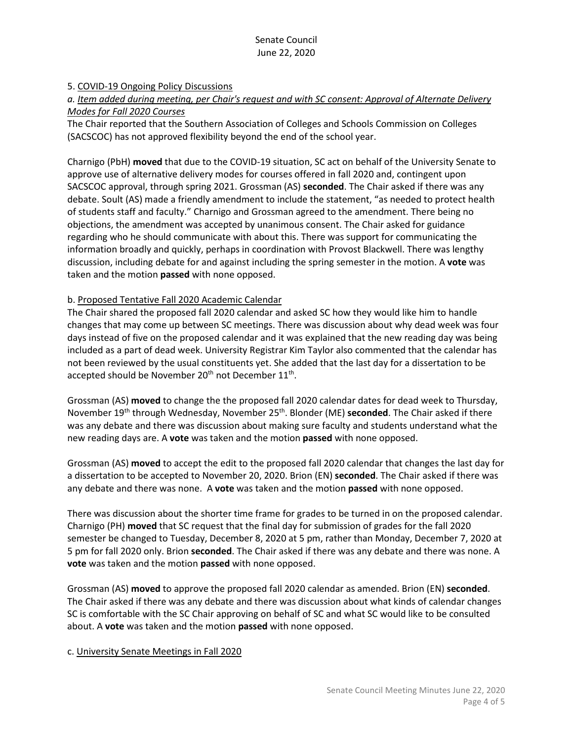#### 5. COVID-19 Ongoing Policy Discussions

#### *a. Item added during meeting, per Chair's request and with SC consent: Approval of Alternate Delivery Modes for Fall 2020 Courses*

The Chair reported that the Southern Association of Colleges and Schools Commission on Colleges (SACSCOC) has not approved flexibility beyond the end of the school year.

Charnigo (PbH) **moved** that due to the COVID-19 situation, SC act on behalf of the University Senate to approve use of alternative delivery modes for courses offered in fall 2020 and, contingent upon SACSCOC approval, through spring 2021. Grossman (AS) **seconded**. The Chair asked if there was any debate. Soult (AS) made a friendly amendment to include the statement, "as needed to protect health of students staff and faculty." Charnigo and Grossman agreed to the amendment. There being no objections, the amendment was accepted by unanimous consent. The Chair asked for guidance regarding who he should communicate with about this. There was support for communicating the information broadly and quickly, perhaps in coordination with Provost Blackwell. There was lengthy discussion, including debate for and against including the spring semester in the motion. A **vote** was taken and the motion **passed** with none opposed.

#### b. Proposed Tentative Fall 2020 Academic Calendar

The Chair shared the proposed fall 2020 calendar and asked SC how they would like him to handle changes that may come up between SC meetings. There was discussion about why dead week was four days instead of five on the proposed calendar and it was explained that the new reading day was being included as a part of dead week. University Registrar Kim Taylor also commented that the calendar has not been reviewed by the usual constituents yet. She added that the last day for a dissertation to be accepted should be November  $20<sup>th</sup>$  not December  $11<sup>th</sup>$ .

Grossman (AS) **moved** to change the the proposed fall 2020 calendar dates for dead week to Thursday, November 19th through Wednesday, November 25th. Blonder (ME) **seconded**. The Chair asked if there was any debate and there was discussion about making sure faculty and students understand what the new reading days are. A **vote** was taken and the motion **passed** with none opposed.

Grossman (AS) **moved** to accept the edit to the proposed fall 2020 calendar that changes the last day for a dissertation to be accepted to November 20, 2020. Brion (EN) **seconded**. The Chair asked if there was any debate and there was none. A **vote** was taken and the motion **passed** with none opposed.

There was discussion about the shorter time frame for grades to be turned in on the proposed calendar. Charnigo (PH) **moved** that SC request that the final day for submission of grades for the fall 2020 semester be changed to Tuesday, December 8, 2020 at 5 pm, rather than Monday, December 7, 2020 at 5 pm for fall 2020 only. Brion **seconded**. The Chair asked if there was any debate and there was none. A **vote** was taken and the motion **passed** with none opposed.

Grossman (AS) **moved** to approve the proposed fall 2020 calendar as amended. Brion (EN) **seconded**. The Chair asked if there was any debate and there was discussion about what kinds of calendar changes SC is comfortable with the SC Chair approving on behalf of SC and what SC would like to be consulted about. A **vote** was taken and the motion **passed** with none opposed.

#### c. University Senate Meetings in Fall 2020